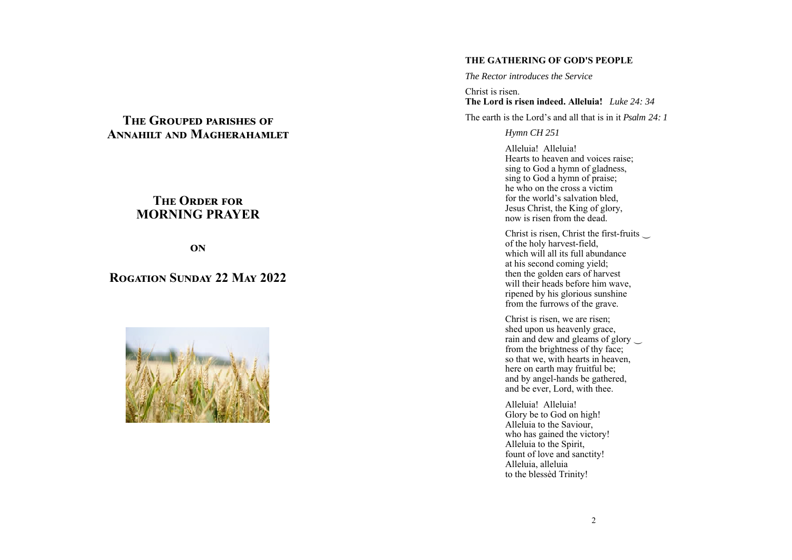# **THE GROUPED PARISHES OF** Annahilt and Magherahamlet

# **THE ORDER FOR MORNING PRAYER**

**QN** 

# **ROGATION SUNDAY 22 MAY 2022**



### **THE GATHERING OF GOD'S PEOPLE**

*The Rector introduces the Service* 

Christ is risen. **The Lord is risen indeed. Alleluia!** *Luke 24: 34* 

The earth is the Lord's and all that is in it *Psalm 24: 1* 

*Hymn CH 251* 

Alleluia! Alleluia! Hearts to heaven and voices raise; sing to God a hymn of gladness, sing to God a hymn of praise; he who on the cross a victim for the world's salvation bled, Jesus Christ, the King of glory, now is risen from the dead.

Christ is risen, Christ the first-fruits ‿ of the holy harvest-field, which will all its full abundance at his second coming yield; then the golden ears of harvest will their heads before him wave, ripened by his glorious sunshine from the furrows of the grave.

Christ is risen, we are risen; shed upon us heavenly grace, rain and dew and gleams of glory from the brightness of thy face; so that we, with hearts in heaven, here on earth may fruitful be; and by angel-hands be gathered, and be ever, Lord, with thee.

Alleluia! Alleluia! Glory be to God on high! Alleluia to the Saviour, who has gained the victory! Alleluia to the Spirit, fount of love and sanctity! Alleluia, alleluia to the blessèd Trinity!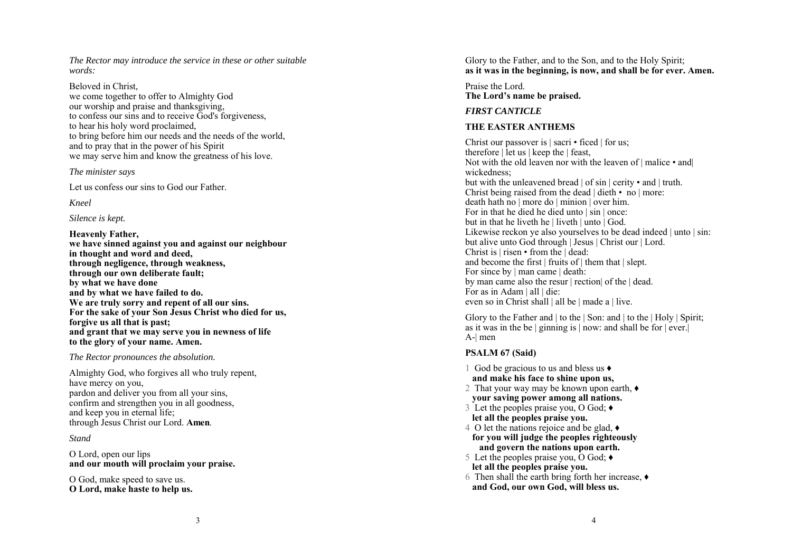*The Rector may introduce the service in these or other suitable words:* 

Beloved in Christ, we come together to offer to Almighty God our worship and praise and thanksgiving, to confess our sins and to receive God's forgiveness, to hear his holy word proclaimed, to bring before him our needs and the needs of the world, and to pray that in the power of his Spirit we may serve him and know the greatness of his love.

### *The minister says*

Let us confess our sins to God our Father.

*Kneel* 

*Silence is kept.* 

**Heavenly Father, we have sinned against you and against our neighbour in thought and word and deed, through negligence, through weakness, through our own deliberate fault; by what we have done and by what we have failed to do. We are truly sorry and repent of all our sins. For the sake of your Son Jesus Christ who died for us, forgive us all that is past; and grant that we may serve you in newness of life to the glory of your name. Amen.** 

#### *The Rector pronounces the absolution.*

Almighty God, who forgives all who truly repent, have mercy on you, pardon and deliver you from all your sins, confirm and strengthen you in all goodness, and keep you in eternal life; through Jesus Christ our Lord. **Amen**.

*Stand* 

O Lord, open our lips **and our mouth will proclaim your praise.** 

O God, make speed to save us. **O Lord, make haste to help us.**  Glory to the Father, and to the Son, and to the Holy Spirit; **as it was in the beginning, is now, and shall be for ever. Amen.** 

Praise the Lord. **The Lord's name be praised.** 

## *FIRST CANTICLE*

## **THE EASTER ANTHEMS**

Christ our passover is | sacri • ficed | for us; therefore | let us | keep the | feast, Not with the old leaven nor with the leaven of | malice • and| wickedness; but with the unleavened bread | of sin | cerity • and | truth. Christ being raised from the dead  $|$  dieth • no  $|$  more: death hath no | more do | minion | over him. For in that he died he died unto | sin | once: but in that he liveth he  $|$  liveth  $|$  unto  $|$  God. Likewise reckon ve also yourselves to be dead indeed | unto | sin: but alive unto God through | Jesus | Christ our | Lord. Christ is  $|\text{ risen} \cdot \text{from the} |$  dead: and become the first | fruits of | them that | slept. For since by | man came | death: by man came also the resur | rection| of the | dead. For as in Adam | all | die: even so in Christ shall | all be | made a | live.

Glory to the Father and | to the | Son: and | to the | Holy | Spirit; as it was in the be  $|$  ginning is  $|$  now: and shall be for  $|$  ever. A-| men

# **PSALM 67 (Said)**

1 God be gracious to us and bless us ♦  **and make his face to shine upon us,**  2 That your way may be known upon earth,  $\triangle$  **your saving power among all nations.**  3 Let the peoples praise you, O God; ♦  **let all the peoples praise you.**  4 O let the nations rejoice and be glad, ♦  **for you will judge the peoples righteously and govern the nations upon earth.** 5 Let the peoples praise you, O God;  $\triangle$  **let all the peoples praise you.**  6 Then shall the earth bring forth her increase, ♦  **and God, our own God, will bless us.**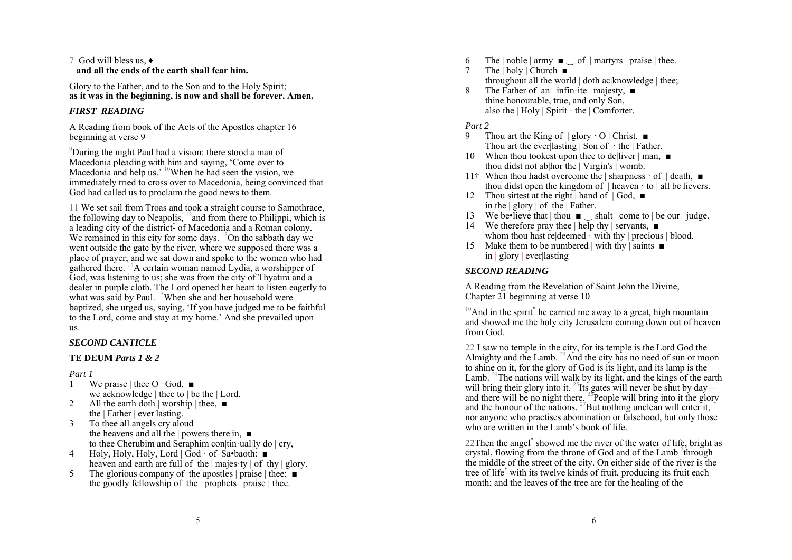### 7 God will bless us, ♦  **and all the ends of the earth shall fear him.**

Glory to the Father, and to the Son and to the Holy Spirit; **as it was in the beginning, is now and shall be forever. Amen.** 

# *FIRST READING*

A Reading from book of the Acts of the Apostles chapter 16 beginning at verse 9

<sup>9</sup>During the night Paul had a vision: there stood a man of Macedonia pleading with him and saying, 'Come over to Macedonia and help us.'  $10$ When he had seen the vision, we immediately tried to cross over to Macedonia, being convinced that God had called us to proclaim the good news to them.

11 We set sail from Troas and took a straight course to Samothrace, the following day to Neapolis,  $^{12}$  and from there to Philippi, which is a leading city of the district<sup>\*</sup> of Macedonia and a Roman colony. We remained in this city for some days.  $^{13}$ On the sabbath day we went outside the gate by the river, where we supposed there was a place of prayer; and we sat down and spoke to the women who had gathered there.  $^{14}A$  certain woman named Lydia, a worshipper of God, was listening to us; she was from the city of Thyatira and a dealer in purple cloth. The Lord opened her heart to listen eagerly to what was said by Paul. <sup>15</sup>When she and her household were baptized, she urged us, saying, 'If you have judged me to be faithful to the Lord, come and stay at my home.' And she prevailed upon us.

# *SECOND CANTICLE*

# **TE DEUM** *Parts 1 & 2*

*Part 1* 

- 1 We praise | thee O | God,  $\blacksquare$ we acknowledge | thee to | be the | Lord.
- 2 All the earth doth | worship | thee, the | Father | ever|lasting.
- 3 To thee all angels cry aloud the heavens and all the | powers there|in, ■ to thee Cherubim and Seraphim con|tin·ual|ly do | cry,
- 4 Holy, Holy, Holy, Lord | God · of Sa•baoth: heaven and earth are full of the  $|$  majes ty  $|$  of thy  $|$  glory.
- 5 The glorious company of the apostles | praise | thee; the goodly fellowship of the | prophets | praise | thee.
- 6 The  $|\text{ noble}|$  army  $\blacksquare$  of  $|\text{matrix}|$  praise  $|\text{the}$ .
- The  $|$  holy  $|$  Church  $\blacksquare$ throughout all the world | doth ac knowledge | thee;
- 8 The Father of an | infin•ite | majesty,  $\blacksquare$ thine honourable, true, and only Son, also the  $|$  Holy  $|$  Spirit  $\cdot$  the  $|$  Comforter.

# *Part 2*

- 9 Thou art the King of  $\vert$  glory  $\cdot$  O  $\vert$  Christ.  $\blacksquare$ Thou art the ever|lasting | Son of  $\cdot$  the | Father.
- 10 When thou tookest upon thee to delliver  $\parallel$  man,  $\blacksquare$ thou didst not ab|hor the | Virgin's | womb.
- 11† When thou hadst overcome the | sharpness · of | death, thou didst open the kingdom of  $|$  heaven  $\cdot$  to  $|$  all be lievers.
- 12 Thou sittest at the right  $|$  hand of  $|$  God,  $\blacksquare$ in the | glory | of the | Father.
- 13 We be•lieve that | thou ‿ shalt | come to | be our | judge.
- 14 We therefore pray thee | help thy | servants, whom thou hast redeemed  $\cdot$  with thy | precious | blood.
- 15 Make them to be numbered | with thy | saints in | glory | ever|lasting

# *SECOND READING*

A Reading from the Revelation of Saint John the Divine, Chapter 21 beginning at verse 10

 $10<sup>10</sup>$ And in the spirit- $\ddot{\phantom{a}}$  he carried me away to a great, high mountain and showed me the holy city Jerusalem coming down out of heaven from God.

22 I saw no temple in the city, for its temple is the Lord God the Almighty and the Lamb. 23And the city has no need of sun or moon to shine on it, for the glory of God is its light, and its lamp is the Lamb.  $24$ The nations will walk by its light, and the kings of the earth will bring their glory into it. <sup>25</sup>Its gates will never be shut by day and there will be no night there.  $^{26}$ People will bring into it the glory and the honour of the nations.  $^{27}$ But nothing unclean will enter it, nor anyone who practises abomination or falsehood, but only those who are written in the Lamb's book of life.

22Then the angel<sup>\*</sup> showed me the river of the water of life, bright as crystal, flowing from the throne of God and of the Lamb  $2$ <sup>1</sup> through the middle of the street of the city. On either side of the river is the tree of life\* with its twelve kinds of fruit, producing its fruit each month; and the leaves of the tree are for the healing of the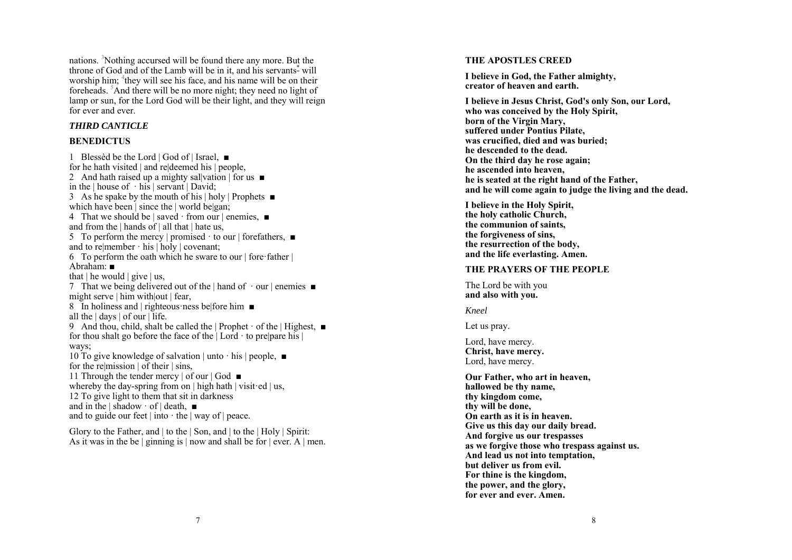nations. 3Nothing accursed will be found there any more. But the throne of God and of the Lamb will be in it, and his servants<sup>\*</sup> will worship him; <sup>4</sup>they will see his face, and his name will be on their foreheads. 5And there will be no more night; they need no light of lamp or sun, for the Lord God will be their light, and they will reign for ever and ever.

#### *THIRD CANTICLE*

#### **BENEDICTUS**

1 Blessèd be the Lord | God of | Israel, ■ for he hath visited | and re|deemed his | people, 2 And hath raised up a mighty sallvation  $\vert$  for us  $\vert \vert$ in the  $|\text{house of } \cdot \text{his } |$  servant  $|\text{David:}$ 3 As he spake by the mouth of his | holy | Prophets ■ which have been | since the | world be|gan; 4 That we should be  $|$  saved  $\cdot$  from our  $|$  enemies.  $\blacksquare$ and from the | hands of | all that | hate us, 5 To perform the mercy | promised  $\cdot$  to our | forefathers,  $\blacksquare$ and to relmember  $\cdot$  his  $\vert$  holy  $\vert$  covenant; 6 To perform the oath which he sware to our | fore·father | Abraham: ■ that  $\vert$  he would  $\vert$  give  $\vert$  us, 7 That we being delivered out of the | hand of · our | enemies ■ might serve | him with|out | fear, 8 In holiness and | righteous·ness be|fore him ■ all the  $\vert$  days  $\vert$  of our  $\vert$  life. 9 And thou, child, shalt be called the | Prophet · of the | Highest, ■ for thou shalt go before the face of the  $|\text{Lord } \cdot \text{ to pre}|$  pare his  $|\text{$ ways: 10 To give knowledge of salvation  $|\text{unto} \cdot \text{his}|$  people,  $\blacksquare$ for the remission of their  $|\sin s|$ , 11 Through the tender mercy | of our | God ■ whereby the day-spring from on  $|\text{ high }hat\|$  visit ed  $|\text{ us},$ 12 To give light to them that sit in darkness and in the  $|$  shadow  $\cdot$  of  $|$  death.  $\blacksquare$ and to guide our feet  $|\text{ into } \cdot \text{ the }|$  way of  $|\text{ peace}|$ .

Glory to the Father, and | to the | Son, and | to the | Holy | Spirit: As it was in the be | ginning is  $|\text{now and shall be for }$  | ever. A  $|\text{men.}$ 

#### **THE APOSTLES CREED**

**I believe in God, the Father almighty, creator of heaven and earth.** 

**I believe in Jesus Christ, God's only Son, our Lord, who was conceived by the Holy Spirit, born of the Virgin Mary, suffered under Pontius Pilate, was crucified, died and was buried; he descended to the dead. On the third day he rose again; he ascended into heaven, he is seated at the right hand of the Father, and he will come again to judge the living and the dead.** 

**I believe in the Holy Spirit, the holy catholic Church, the communion of saints, the forgiveness of sins, the resurrection of the body, and the life everlasting. Amen.** 

#### **THE PRAYERS OF THE PEOPLE**

The Lord be with you **and also with you.** 

*Kneel* 

Let us pray.

Lord, have mercy. **Christ, have mercy.**  Lord, have mercy.

**Our Father, who art in heaven, hallowed be thy name, thy kingdom come, thy will be done, On earth as it is in heaven. Give us this day our daily bread. And forgive us our trespasses as we forgive those who trespass against us. And lead us not into temptation, but deliver us from evil. For thine is the kingdom, the power, and the glory, for ever and ever. Amen.**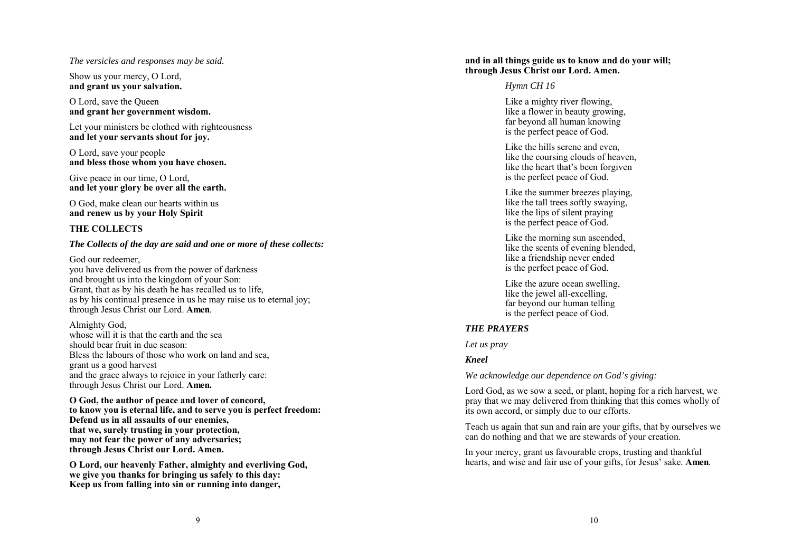*The versicles and responses may be said.* 

Show us your mercy, O Lord, **and grant us your salvation.** 

O Lord, save the Queen **and grant her government wisdom.** 

Let your ministers be clothed with righteousness **and let your servants shout for joy.** 

O Lord, save your people **and bless those whom you have chosen.** 

Give peace in our time, O Lord, **and let your glory be over all the earth.** 

O God, make clean our hearts within us **and renew us by your Holy Spirit** 

## **THE COLLECTS**

#### *The Collects of the day are said and one or more of these collects:*

God our redeemer, you have delivered us from the power of darkness and brought us into the kingdom of your Son: Grant, that as by his death he has recalled us to life, as by his continual presence in us he may raise us to eternal joy; through Jesus Christ our Lord. **Amen**.

Almighty God, whose will it is that the earth and the sea should bear fruit in due season: Bless the labours of those who work on land and sea, grant us a good harvest and the grace always to rejoice in your fatherly care: through Jesus Christ our Lord. **Amen.** 

**O God, the author of peace and lover of concord, to know you is eternal life, and to serve you is perfect freedom: Defend us in all assaults of our enemies, that we, surely trusting in your protection, may not fear the power of any adversaries; through Jesus Christ our Lord. Amen.** 

**O Lord, our heavenly Father, almighty and everliving God, we give you thanks for bringing us safely to this day: Keep us from falling into sin or running into danger,** 

#### **and in all things guide us to know and do your will; through Jesus Christ our Lord. Amen.**

#### *Hymn CH 16*

Like a mighty river flowing, like a flower in beauty growing, far beyond all human knowing is the perfect peace of God.

Like the hills serene and even, like the coursing clouds of heaven, like the heart that's been forgiven is the perfect peace of God.

Like the summer breezes playing, like the tall trees softly swaying, like the lips of silent praying is the perfect peace of God.

Like the morning sun ascended, like the scents of evening blended, like a friendship never ended is the perfect peace of God.

Like the azure ocean swelling, like the jewel all-excelling, far beyond our human telling is the perfect peace of God.

#### *THE PRAYERS*

*Let us pray* 

## *Kneel*

*We acknowledge our dependence on God's giving:* 

Lord God, as we sow a seed, or plant, hoping for a rich harvest, we pray that we may delivered from thinking that this comes wholly of its own accord, or simply due to our efforts.

Teach us again that sun and rain are your gifts, that by ourselves we can do nothing and that we are stewards of your creation.

In your mercy, grant us favourable crops, trusting and thankful hearts, and wise and fair use of your gifts, for Jesus' sake. **Amen**.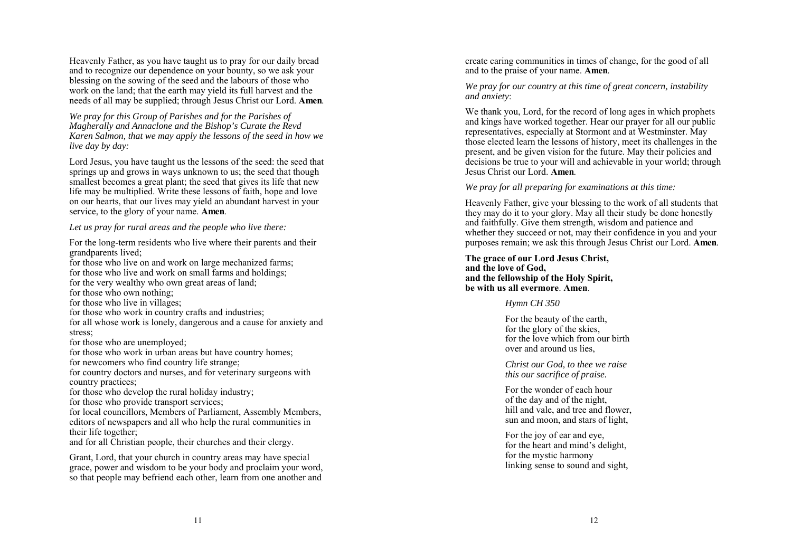Heavenly Father, as you have taught us to pray for our daily bread and to recognize our dependence on your bounty, so we ask your blessing on the sowing of the seed and the labours of those who work on the land; that the earth may yield its full harvest and the needs of all may be supplied; through Jesus Christ our Lord. **Amen**.

*We pray for this Group of Parishes and for the Parishes of Magherally and Annaclone and the Bishop's Curate the Revd Karen Salmon, that we may apply the lessons of the seed in how we live day by day:* 

Lord Jesus, you have taught us the lessons of the seed: the seed that springs up and grows in ways unknown to us; the seed that though smallest becomes a great plant; the seed that gives its life that new life may be multiplied. Write these lessons of faith, hope and love on our hearts, that our lives may yield an abundant harvest in your service, to the glory of your name. **Amen**.

*Let us pray for rural areas and the people who live there:* 

For the long-term residents who live where their parents and their grandparents lived; for those who live on and work on large mechanized farms; for those who live and work on small farms and holdings; for the very wealthy who own great areas of land; for those who own nothing; for those who live in villages; for those who work in country crafts and industries; for all whose work is lonely, dangerous and a cause for anxiety and stress; for those who are unemployed; for those who work in urban areas but have country homes; for newcomers who find country life strange; for country doctors and nurses, and for veterinary surgeons with country practices; for those who develop the rural holiday industry; for those who provide transport services; for local councillors, Members of Parliament, Assembly Members, editors of newspapers and all who help the rural communities in their life together; and for all Christian people, their churches and their clergy.

Grant, Lord, that your church in country areas may have special grace, power and wisdom to be your body and proclaim your word, so that people may befriend each other, learn from one another and

create caring communities in times of change, for the good of all and to the praise of your name. **Amen**.

*We pray for our country at this time of great concern, instability and anxiety*:

We thank you, Lord, for the record of long ages in which prophets and kings have worked together. Hear our prayer for all our public representatives, especially at Stormont and at Westminster. May those elected learn the lessons of history, meet its challenges in the present, and be given vision for the future. May their policies and decisions be true to your will and achievable in your world; through Jesus Christ our Lord. **Amen**.

*We pray for all preparing for examinations at this time:* 

Heavenly Father, give your blessing to the work of all students that they may do it to your glory. May all their study be done honestly and faithfully. Give them strength, wisdom and patience and whether they succeed or not, may their confidence in you and your purposes remain; we ask this through Jesus Christ our Lord. **Amen**.

**The grace of our Lord Jesus Christ, and the love of God, and the fellowship of the Holy Spirit, be with us all evermore**. **Amen**.

*Hymn CH 350* 

For the beauty of the earth, for the glory of the skies, for the love which from our birth over and around us lies,

*Christ our God, to thee we raise this our sacrifice of praise.* 

For the wonder of each hour of the day and of the night, hill and vale, and tree and flower. sun and moon, and stars of light,

For the joy of ear and eye, for the heart and mind's delight, for the mystic harmony linking sense to sound and sight,